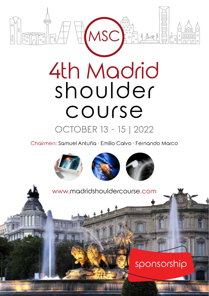

Chairmen: Samuel Antuña · Emilio Calvo · Fernando Marco

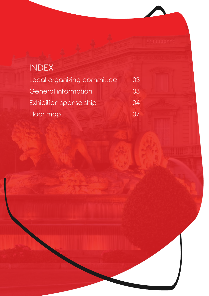| <b>INDEX</b>               |    |
|----------------------------|----|
| Local organizing committee | 03 |
| General information        | 03 |
| Exhibition sponsorship     | 04 |
| Floor map                  |    |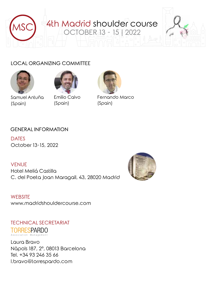

### LOCAL ORGANIZING COMMITTEE





Samuel Antuña (Spain)

Emilio Calvo (Spain)



Fernando Marco (Spain)

#### GENERAL INFORMATION

**DATES** October 13-15, 2022

#### **VENUE**

Hotel Meliá Castilla C. del Poeta Joan Maragall, 43, 28020 Madrid



**WEBSITE** www.madridshouldercourse.com

TECHNICAL SECRETARIAT TORRESPARDO Association Management

Laura Bravo Nàpols 187, 2º, 08013 Barcelona Tel. +34 93 246 35 66 l.bravo@torrespardo.com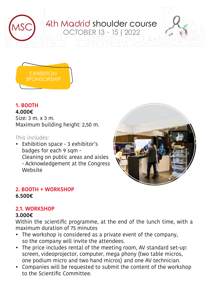



## **1. BOOTH**

#### **4.000€**

Size: 3 m. x 3 m. Maximum building height: 2,50 m.

## This includes:

• Exhibition space - 3 exhibitor's badges for each 9 sqm - Cleaning on public areas and aisles - Acknowledgement at the Congress Website



## **2. BOOTH + WORKSHOP 6.500€**

# **2.1. WORKSHOP**

#### **3.000€**

Within the scientific programme, at the end of the lunch time, with a maximum duration of 75 minutes

- The workshop is considered as a private event of the company, so the company will invite the attendees.
- The price includes rental of the meeting room, AV standard set-up: screen, videoprojector, computer, mega phony (two table micros, one podium micro and two hand micros) and one AV technician.
- Companies will be requested to submit the content of the workshop to the Scientific Committee.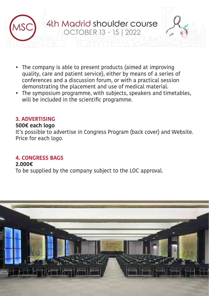

- The company is able to present products (aimed at improving quality, care and patient service), either by means of a series of conferences and a discussion forum, or with a practical session demonstrating the placement and use of medical material.
- The symposium programme, with subjects, speakers and timetables, will be included in the scientific programme.

#### **3. ADVERTISING**

#### **500€ each logo**

It's possible to advertise in Congress Program (back cover) and Website. Price for each logo.

#### **4. CONGRESS BAGS**

#### **2.000€**

To be supplied by the company subject to the LOC approval.

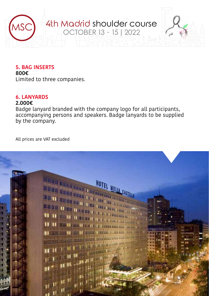

#### **5. BAG INSERTS**

**800€** Limited to three companies.

#### **6. LANYARDS**

#### **2.000€**

Badge lanyard branded with the company logo for all participants, accompanying persons and speakers. Badge lanyards to be supplied by the company.

All prices are VAT excluded

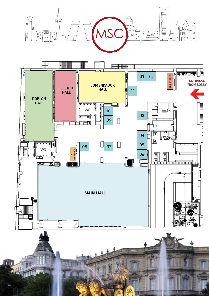

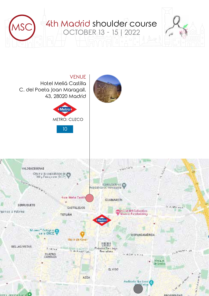

VENUE Hotel Meliá Castilla C. del Poeta Joan Maragall, 43, 28020 Madrid